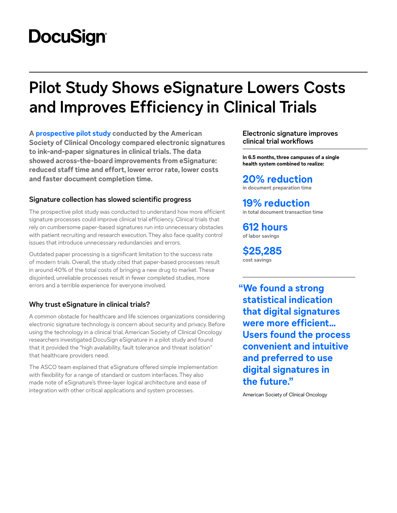# **DocuSign**

# **Pilot Study Shows eSignature Lowers Costs and Improves Efficiency in Clinical Trials**

**A [prospective pilot study](https://ascopubs.org/doi/full/10.1200/CCI.20.00027) conducted by the American Society of Clinical Oncology compared electronic signatures to ink-and-paper signatures in clinical trials. The data showed across-the-board improvements from eSignature: reduced staff time and effort, lower error rate, lower costs and faster document completion time.**

## **Signature collection has slowed scientific progress**

The prospective pilot study was conducted to understand how more efficient signature processes could improve clinical trial efficiency. Clinical trials that rely on cumbersome paper-based signatures run into unnecessary obstacles with patient recruiting and research execution. They also face quality control issues that introduce unnecessary redundancies and errors.

Outdated paper processing is a significant limitation to the success rate of modern trials. Overall, the study cited that paper-based processes result in around 40% of the total costs of bringing a new drug to market. These disjointed, unreliable processes result in fewer completed studies, more errors and a terrible experience for everyone involved.

# **Why trust eSignature in clinical trials?**

A common obstacle for healthcare and life sciences organizations considering electronic signature technology is concern about security and privacy. Before using the technology in a clinical trial, American Society of Clinical Oncology researchers investigated DocuSign eSignature in a pilot study and found that it provided the "high availability, fault tolerance and threat isolation" that healthcare providers need.

The ASCO team explained that eSignature offered simple implementation with flexibility for a range of standard or custom interfaces. They also made note of eSignature's three-layer logical architecture and ease of integration with other critical applications and system processes.

**Electronic signature improves clinical trial workflows**

**In 6.5 months, three campuses of a single health system combined to realize:**

# **20% reduction**

**in document preparation time**

# **19% reduction**

**in total document transaction time** 

**612 hours of labor savings**

**\$25,285 cost savings**

**"We found a strong statistical indication that digital signatures were more efficient… Users found the process convenient and intuitive and preferred to use digital signatures in the future."**

American Society of Clinical Oncology